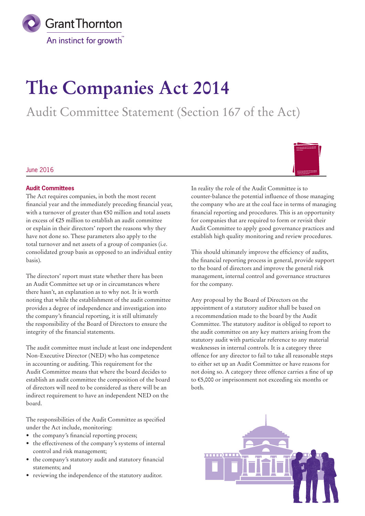

# **The Companies Act 2014**

Audit Committee Statement (Section 167 of the Act)

### June 2016



The Act requires companies, in both the most recent financial year and the immediately preceding financial year, with a turnover of greater than €50 million and total assets in excess of €25 million to establish an audit committee or explain in their directors' report the reasons why they have not done so. These parameters also apply to the total turnover and net assets of a group of companies (i.e. consolidated group basis as opposed to an individual entity basis).

The directors' report must state whether there has been an Audit Committee set up or in circumstances where there hasn't, an explanation as to why not. It is worth noting that while the establishment of the audit committee provides a degree of independence and investigation into the company's financial reporting, it is still ultimately the responsibility of the Board of Directors to ensure the integrity of the financial statements.

The audit committee must include at least one independent Non-Executive Director (NED) who has competence in accounting or auditing. This requirement for the Audit Committee means that where the board decides to establish an audit committee the composition of the board of directors will need to be considered as there will be an indirect requirement to have an independent NED on the board.

The responsibilities of the Audit Committee as specified under the Act include, monitoring:

- the company's financial reporting process;
- the effectiveness of the company's systems of internal control and risk management;
- the company's statutory audit and statutory financial statements; and
- reviewing the independence of the statutory auditor.

In reality the role of the Audit Committee is to counter-balance the potential influence of those managing the company who are at the coal face in terms of managing financial reporting and procedures. This is an opportunity for companies that are required to form or revisit their Audit Committee to apply good governance practices and establish high quality monitoring and review procedures.

This should ultimately improve the efficiency of audits, the financial reporting process in general, provide support to the board of directors and improve the general risk management, internal control and governance structures for the company.

Any proposal by the Board of Directors on the appointment of a statutory auditor shall be based on a recommendation made to the board by the Audit Committee. The statutory auditor is obliged to report to the audit committee on any key matters arising from the statutory audit with particular reference to any material weaknesses in internal controls. It is a category three offence for any director to fail to take all reasonable steps to either set up an Audit Committee or have reasons for not doing so. A category three offence carries a fine of up to €5,000 or imprisonment not exceeding six months or both.